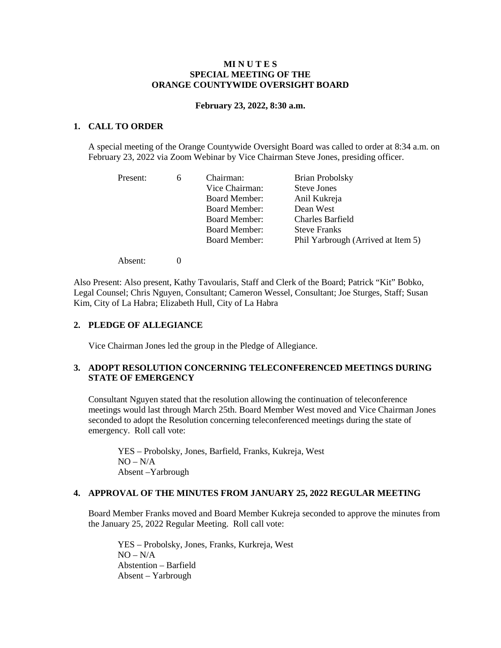## **MI N U T E S SPECIAL MEETING OF THE ORANGE COUNTYWIDE OVERSIGHT BOARD**

#### **February 23, 2022, 8:30 a.m.**

# **1. CALL TO ORDER**

A special meeting of the Orange Countywide Oversight Board was called to order at 8:34 a.m. on February 23, 2022 via Zoom Webinar by Vice Chairman Steve Jones, presiding officer.

| Present: | 6 | Chairman:            | <b>Brian Probolsky</b>             |
|----------|---|----------------------|------------------------------------|
|          |   | Vice Chairman:       | <b>Steve Jones</b>                 |
|          |   | <b>Board Member:</b> | Anil Kukreja                       |
|          |   | <b>Board Member:</b> | Dean West                          |
|          |   | <b>Board Member:</b> | Charles Barfield                   |
|          |   | <b>Board Member:</b> | <b>Steve Franks</b>                |
|          |   | <b>Board Member:</b> | Phil Yarbrough (Arrived at Item 5) |
|          |   |                      |                                    |

Absent: 0

Also Present: Also present, Kathy Tavoularis, Staff and Clerk of the Board; Patrick "Kit" Bobko, Legal Counsel; Chris Nguyen, Consultant; Cameron Wessel, Consultant; Joe Sturges, Staff; Susan Kim, City of La Habra; Elizabeth Hull, City of La Habra

## **2. PLEDGE OF ALLEGIANCE**

Vice Chairman Jones led the group in the Pledge of Allegiance.

# **3. ADOPT RESOLUTION CONCERNING TELECONFERENCED MEETINGS DURING STATE OF EMERGENCY**

Consultant Nguyen stated that the resolution allowing the continuation of teleconference meetings would last through March 25th. Board Member West moved and Vice Chairman Jones seconded to adopt the Resolution concerning teleconferenced meetings during the state of emergency. Roll call vote:

YES – Probolsky, Jones, Barfield, Franks, Kukreja, West  $NO - N/A$ Absent –Yarbrough

#### **4. APPROVAL OF THE MINUTES FROM JANUARY 25, 2022 REGULAR MEETING**

Board Member Franks moved and Board Member Kukreja seconded to approve the minutes from the January 25, 2022 Regular Meeting. Roll call vote:

YES – Probolsky, Jones, Franks, Kurkreja, West  $NO - N/A$ Abstention – Barfield Absent – Yarbrough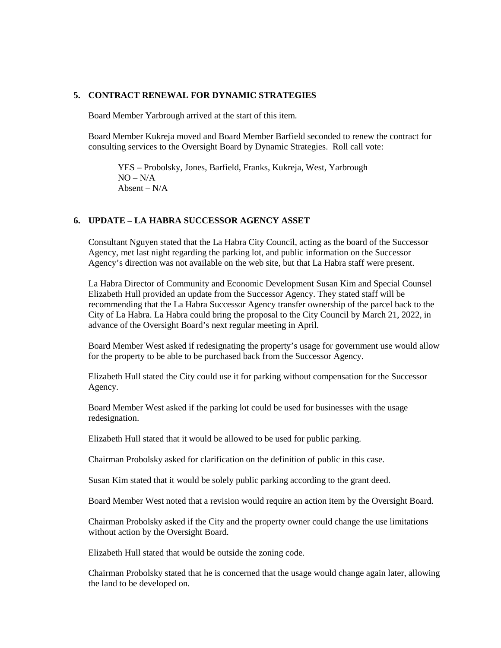## **5. CONTRACT RENEWAL FOR DYNAMIC STRATEGIES**

Board Member Yarbrough arrived at the start of this item.

Board Member Kukreja moved and Board Member Barfield seconded to renew the contract for consulting services to the Oversight Board by Dynamic Strategies. Roll call vote:

YES – Probolsky, Jones, Barfield, Franks, Kukreja, West, Yarbrough  $NO - N/A$ Absent –  $N/A$ 

## **6. UPDATE – LA HABRA SUCCESSOR AGENCY ASSET**

Consultant Nguyen stated that the La Habra City Council, acting as the board of the Successor Agency, met last night regarding the parking lot, and public information on the Successor Agency's direction was not available on the web site, but that La Habra staff were present.

La Habra Director of Community and Economic Development Susan Kim and Special Counsel Elizabeth Hull provided an update from the Successor Agency. They stated staff will be recommending that the La Habra Successor Agency transfer ownership of the parcel back to the City of La Habra. La Habra could bring the proposal to the City Council by March 21, 2022, in advance of the Oversight Board's next regular meeting in April.

Board Member West asked if redesignating the property's usage for government use would allow for the property to be able to be purchased back from the Successor Agency.

Elizabeth Hull stated the City could use it for parking without compensation for the Successor Agency.

Board Member West asked if the parking lot could be used for businesses with the usage redesignation.

Elizabeth Hull stated that it would be allowed to be used for public parking.

Chairman Probolsky asked for clarification on the definition of public in this case.

Susan Kim stated that it would be solely public parking according to the grant deed.

Board Member West noted that a revision would require an action item by the Oversight Board.

Chairman Probolsky asked if the City and the property owner could change the use limitations without action by the Oversight Board.

Elizabeth Hull stated that would be outside the zoning code.

Chairman Probolsky stated that he is concerned that the usage would change again later, allowing the land to be developed on.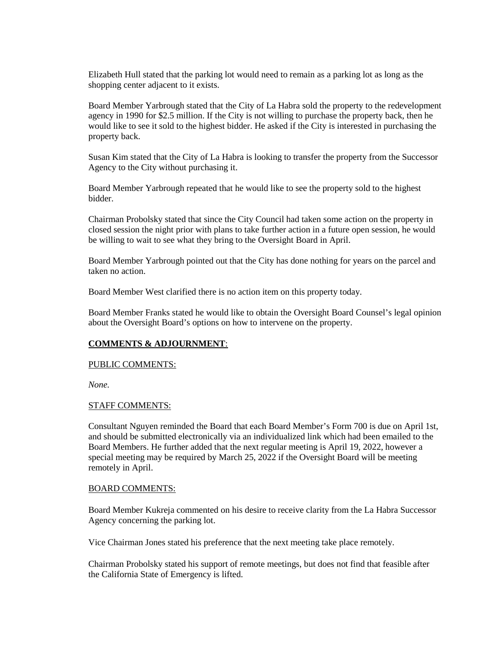Elizabeth Hull stated that the parking lot would need to remain as a parking lot as long as the shopping center adjacent to it exists.

Board Member Yarbrough stated that the City of La Habra sold the property to the redevelopment agency in 1990 for \$2.5 million. If the City is not willing to purchase the property back, then he would like to see it sold to the highest bidder. He asked if the City is interested in purchasing the property back.

Susan Kim stated that the City of La Habra is looking to transfer the property from the Successor Agency to the City without purchasing it.

Board Member Yarbrough repeated that he would like to see the property sold to the highest bidder.

Chairman Probolsky stated that since the City Council had taken some action on the property in closed session the night prior with plans to take further action in a future open session, he would be willing to wait to see what they bring to the Oversight Board in April.

Board Member Yarbrough pointed out that the City has done nothing for years on the parcel and taken no action.

Board Member West clarified there is no action item on this property today.

Board Member Franks stated he would like to obtain the Oversight Board Counsel's legal opinion about the Oversight Board's options on how to intervene on the property.

## **COMMENTS & ADJOURNMENT**:

### PUBLIC COMMENTS:

*None.*

#### STAFF COMMENTS:

Consultant Nguyen reminded the Board that each Board Member's Form 700 is due on April 1st, and should be submitted electronically via an individualized link which had been emailed to the Board Members. He further added that the next regular meeting is April 19, 2022, however a special meeting may be required by March 25, 2022 if the Oversight Board will be meeting remotely in April.

#### BOARD COMMENTS:

Board Member Kukreja commented on his desire to receive clarity from the La Habra Successor Agency concerning the parking lot.

Vice Chairman Jones stated his preference that the next meeting take place remotely.

Chairman Probolsky stated his support of remote meetings, but does not find that feasible after the California State of Emergency is lifted.